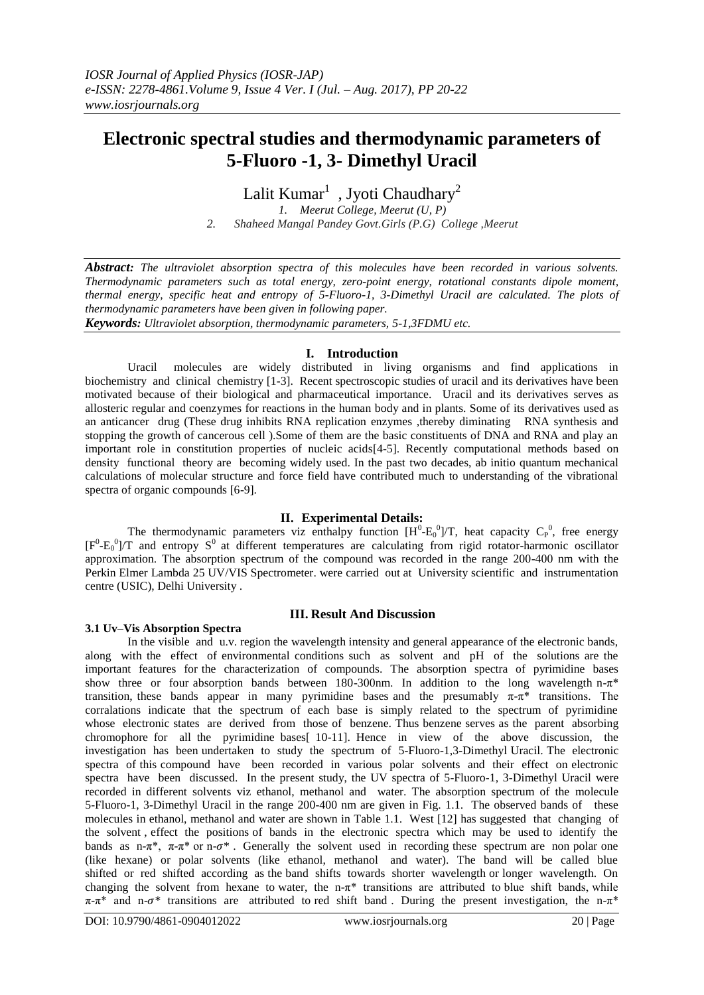# **Electronic spectral studies and thermodynamic parameters of 5-Fluoro -1, 3- Dimethyl Uracil**

Lalit  $Kumar<sup>1</sup>$  , Jyoti Chaudhary<sup>2</sup>

*1. Meerut College, Meerut (U, P) 2. Shaheed Mangal Pandey Govt.Girls (P.G) College ,Meerut*

*Abstract: The ultraviolet absorption spectra of this molecules have been recorded in various solvents. Thermodynamic parameters such as total energy, zero-point energy, rotational constants dipole moment, thermal energy, specific heat and entropy of 5-Fluoro-1, 3-Dimethyl Uracil are calculated. The plots of thermodynamic parameters have been given in following paper.*

*Keywords: Ultraviolet absorption, thermodynamic parameters, 5-1,3FDMU etc.*

# **I. Introduction**

Uracil molecules are widely distributed in living organisms and find applications in biochemistry and clinical chemistry [1-3]. Recent spectroscopic studies of uracil and its derivatives have been motivated because of their biological and pharmaceutical importance. Uracil and its derivatives serves as allosteric regular and coenzymes for reactions in the human body and in plants. Some of its derivatives used as an anticancer drug (These drug inhibits RNA replication enzymes ,thereby diminating RNA synthesis and stopping the growth of cancerous cell ).Some of them are the basic constituents of DNA and RNA and play an important role in constitution properties of nucleic acids[4-5]. Recently computational methods based on density functional theory are becoming widely used. In the past two decades, ab initio quantum mechanical calculations of molecular structure and force field have contributed much to understanding of the vibrational spectra of organic compounds [6-9].

# **II. Experimental Details:**

The thermodynamic parameters viz enthalpy function  $[H^0-E_0^0]/T$ , heat capacity  $C_P^0$ , free energy  $[F^{0}-E_{0}^{0}]/T$  and entropy  $S^{0}$  at different temperatures are calculating from rigid rotator-harmonic oscillator approximation. The absorption spectrum of the compound was recorded in the range 200-400 nm with the Perkin Elmer Lambda 25 UV/VIS Spectrometer. were carried out at University scientific and instrumentation centre (USIC), Delhi University .

# **III. Result And Discussion**

# **3.1 Uv–Vis Absorption Spectra**

In the visible and u.v. region the wavelength intensity and general appearance of the electronic bands, along with the effect of environmental conditions such as solvent and pH of the solutions are the important features for the characterization of compounds. The absorption spectra of pyrimidine bases show three or four absorption bands between 180-300nm. In addition to the long wavelength n- $\pi^*$ transition, these bands appear in many pyrimidine bases and the presumably  $\pi$ - $\pi$ <sup>\*</sup> transitions. The corralations indicate that the spectrum of each base is simply related to the spectrum of pyrimidine whose electronic states are derived from those of benzene. Thus benzene serves as the parent absorbing chromophore for all the pyrimidine bases[ 10-11]. Hence in view of the above discussion, the investigation has been undertaken to study the spectrum of 5-Fluoro-1,3-Dimethyl Uracil. The electronic spectra of this compound have been recorded in various polar solvents and their effect on electronic spectra have been discussed. In the present study, the UV spectra of 5-Fluoro-1, 3-Dimethyl Uracil were recorded in different solvents viz ethanol, methanol and water. The absorption spectrum of the molecule 5-Fluoro-1, 3-Dimethyl Uracil in the range 200-400 nm are given in Fig. 1.1. The observed bands of these molecules in ethanol, methanol and water are shown in Table 1.1. West [12] has suggested that changing of the solvent , effect the positions of bands in the electronic spectra which may be used to identify the bands as  $n-\pi^*$ ,  $\pi-\pi^*$  or  $n-\sigma^*$ . Generally the solvent used in recording these spectrum are non polar one (like hexane) or polar solvents (like ethanol, methanol and water). The band will be called blue shifted or red shifted according as the band shifts towards shorter wavelength or longer wavelength. On changing the solvent from hexane to water, the n- $\pi^*$  transitions are attributed to blue shift bands, while  $\pi$ -π<sup>\*</sup> and n- $\sigma$ <sup>\*</sup> transitions are attributed to red shift band. During the present investigation, the n-π<sup>\*</sup>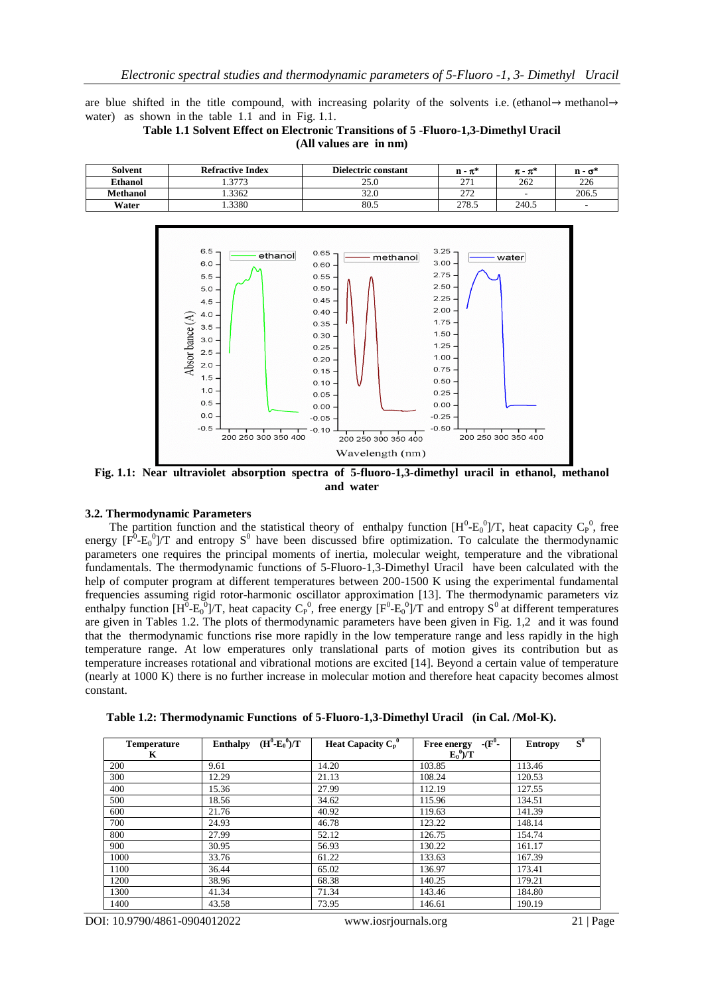are blue shifted in the title compound, with increasing polarity of the solvents i.e. (ethanol→ methanol→ water) as shown in the table 1.1 and in Fig. 1.1.

**Table 1.1 Solvent Effect on Electronic Transitions of 5 -Fluoro-1,3-Dimethyl Uracil (All values are in nm)**

| <b>Solvent</b>  | <b>Refractive Index</b> | <b>Dielectric constant</b> | $n - \pi^*$ | $\pi$ - $\pi^*$ | n - σ*                   |
|-----------------|-------------------------|----------------------------|-------------|-----------------|--------------------------|
| <b>Ethanol</b>  | 2772                    | 25.0                       | 271         | 262             | 226                      |
| <b>Methanol</b> | .3362                   | 32.0                       | 272<br>21 Z |                 | 206.5                    |
| Water           | .3380                   | 80.5                       | 278.5       | 240.5           | $\overline{\phantom{a}}$ |



**Fig. 1.1: Near ultraviolet absorption spectra of 5-fluoro-1,3-dimethyl uracil in ethanol, methanol and water**

#### **3.2. Thermodynamic Parameters**

The partition function and the statistical theory of enthalpy function  $[H^0-E_0^0]/T$ , heat capacity  $C_P^0$ , free energy  $[F^0-E_0^0]/T$  and entropy S<sup>0</sup> have been discussed bfire optimization. To calculate the thermodynamic parameters one requires the principal moments of inertia, molecular weight, temperature and the vibrational fundamentals. The thermodynamic functions of 5-Fluoro-1,3-Dimethyl Uracil have been calculated with the help of computer program at different temperatures between 200-1500 K using the experimental fundamental frequencies assuming rigid rotor-harmonic oscillator approximation [13]. The thermodynamic parameters viz enthalpy function  $[H^0-E_0^0]/T$ , heat capacity  $C_P^0$ , free energy  $[F^0-E_0^0]/T$  and entropy  $S^0$  at different temperatures are given in Tables 1.2. The plots of thermodynamic parameters have been given in Fig. 1,2 and it was found that the thermodynamic functions rise more rapidly in the low temperature range and less rapidly in the high temperature range. At low emperatures only translational parts of motion gives its contribution but as temperature increases rotational and vibrational motions are excited [14]. Beyond a certain value of temperature (nearly at 1000 K) there is no further increase in molecular motion and therefore heat capacity becomes almost constant.

| <b>Temperature</b><br>K | $(H^0 - E_0^0)/T$<br><b>Enthalpy</b> | Heat Capacity $C_p^0$ | $-(F^0 -$<br><b>Free energy</b><br>$E_0^0$ /T | $S^0$<br><b>Entropy</b> |
|-------------------------|--------------------------------------|-----------------------|-----------------------------------------------|-------------------------|
| 200                     | 9.61                                 | 14.20                 | 103.85                                        | 113.46                  |
| 300                     | 12.29                                | 21.13                 | 108.24                                        | 120.53                  |
| 400                     | 15.36                                | 27.99                 | 112.19                                        | 127.55                  |
| 500                     | 18.56                                | 34.62                 | 115.96                                        | 134.51                  |
| 600                     | 21.76                                | 40.92                 | 119.63                                        | 141.39                  |
| 700                     | 24.93                                | 46.78                 | 123.22                                        | 148.14                  |
| 800                     | 27.99                                | 52.12                 | 126.75                                        | 154.74                  |
| 900                     | 30.95                                | 56.93                 | 130.22                                        | 161.17                  |
| 1000                    | 33.76                                | 61.22                 | 133.63                                        | 167.39                  |
| 1100                    | 36.44                                | 65.02                 | 136.97                                        | 173.41                  |
| 1200                    | 38.96                                | 68.38                 | 140.25                                        | 179.21                  |
| 1300                    | 41.34                                | 71.34                 | 143.46                                        | 184.80                  |
| 1400                    | 43.58                                | 73.95                 | 146.61                                        | 190.19                  |

**Table 1.2: Thermodynamic Functions of 5-Fluoro-1,3-Dimethyl Uracil (in Cal. /Mol-K).**